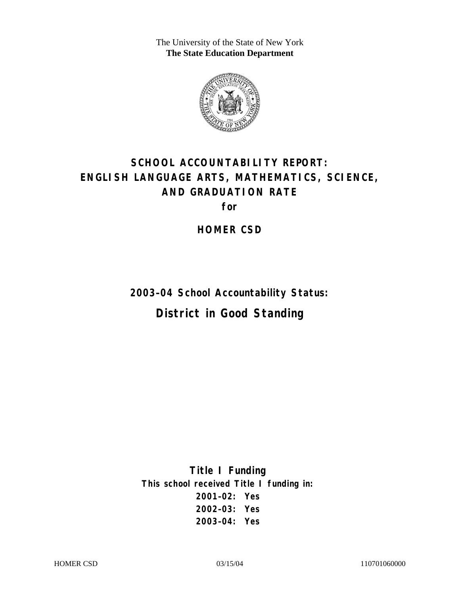The University of the State of New York **The State Education Department** 



# **SCHOOL ACCOUNTABILITY REPORT: ENGLISH LANGUAGE ARTS, MATHEMATICS, SCIENCE, AND GRADUATION RATE**

**for** 

**HOMER CSD** 

**2003–04 School Accountability Status: District in Good Standing** 

**Title I Funding This school received Title I funding in: 2001–02: Yes 2002–03: Yes 2003–04: Yes**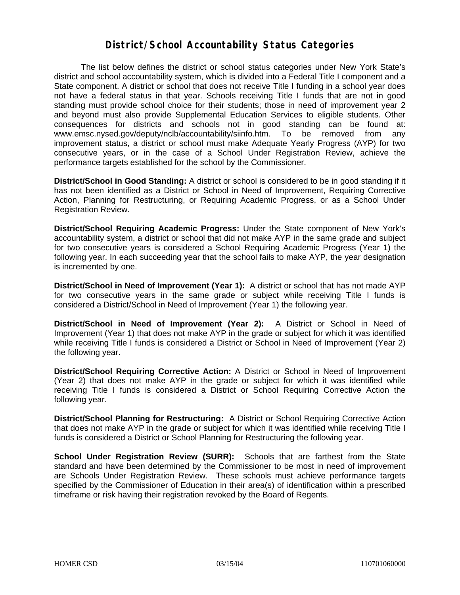#### **District/School Accountability Status Categories**

The list below defines the district or school status categories under New York State's district and school accountability system, which is divided into a Federal Title I component and a State component. A district or school that does not receive Title I funding in a school year does not have a federal status in that year. Schools receiving Title I funds that are not in good standing must provide school choice for their students; those in need of improvement year 2 and beyond must also provide Supplemental Education Services to eligible students. Other consequences for districts and schools not in good standing can be found at: www.emsc.nysed.gov/deputy/nclb/accountability/siinfo.htm. To be removed from any improvement status, a district or school must make Adequate Yearly Progress (AYP) for two consecutive years, or in the case of a School Under Registration Review, achieve the performance targets established for the school by the Commissioner.

**District/School in Good Standing:** A district or school is considered to be in good standing if it has not been identified as a District or School in Need of Improvement, Requiring Corrective Action, Planning for Restructuring, or Requiring Academic Progress, or as a School Under Registration Review.

**District/School Requiring Academic Progress:** Under the State component of New York's accountability system, a district or school that did not make AYP in the same grade and subject for two consecutive years is considered a School Requiring Academic Progress (Year 1) the following year. In each succeeding year that the school fails to make AYP, the year designation is incremented by one.

**District/School in Need of Improvement (Year 1):** A district or school that has not made AYP for two consecutive years in the same grade or subject while receiving Title I funds is considered a District/School in Need of Improvement (Year 1) the following year.

**District/School in Need of Improvement (Year 2):** A District or School in Need of Improvement (Year 1) that does not make AYP in the grade or subject for which it was identified while receiving Title I funds is considered a District or School in Need of Improvement (Year 2) the following year.

**District/School Requiring Corrective Action:** A District or School in Need of Improvement (Year 2) that does not make AYP in the grade or subject for which it was identified while receiving Title I funds is considered a District or School Requiring Corrective Action the following year.

**District/School Planning for Restructuring:** A District or School Requiring Corrective Action that does not make AYP in the grade or subject for which it was identified while receiving Title I funds is considered a District or School Planning for Restructuring the following year.

**School Under Registration Review (SURR):** Schools that are farthest from the State standard and have been determined by the Commissioner to be most in need of improvement are Schools Under Registration Review. These schools must achieve performance targets specified by the Commissioner of Education in their area(s) of identification within a prescribed timeframe or risk having their registration revoked by the Board of Regents.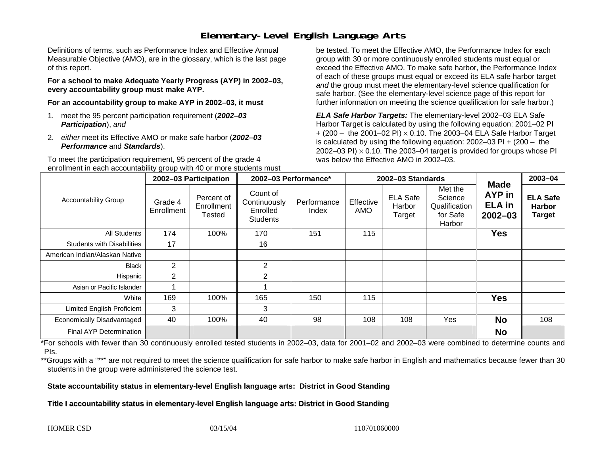## **Elementary-Level English Language Arts**

Definitions of terms, such as Performance Index and Effective Annual Measurable Objective (AMO), are in the glossary, which is the last page of this report.

**For a school to make Adequate Yearly Progress (AYP) in 2002–03, every accountability group must make AYP.** 

**For an accountability group to make AYP in 2002–03, it must** 

- 1. meet the 95 percent participation requirement (*2002–03 Participation*), *and*
- 2. *either* meet its Effective AMO *or* make safe harbor (*2002–03 Performance* and *Standards*).

To meet the participation requirement, 95 percent of the grade 4 enrollment in each accountability group with 40 or more students must

be tested. To meet the Effective AMO, the Performance Index for each group with 30 or more continuously enrolled students must equal or exceed the Effective AMO. To make safe harbor, the Performance Index of each of these groups must equal or exceed its ELA safe harbor target *and* the group must meet the elementary-level science qualification for safe harbor. (See the elementary-level science page of this report for further information on meeting the science qualification for safe harbor.)

*ELA Safe Harbor Targets:* The elementary-level 2002–03 ELA Safe Harbor Target is calculated by using the following equation: 2001–02 PI + (200 – the 2001–02 PI) <sup>×</sup> 0.10. The 2003–04 ELA Safe Harbor Target is calculated by using the following equation: 2002–03 PI + (200 – the 2002–03 PI)  $\times$  0.10. The 2003–04 target is provided for groups whose PI was below the Effective AMO in 2002–03.

|                                   |                       | 2002-03 Participation              | 2002-03 Performance*                                    |                      |                  | 2002-03 Standards                   |                                                           | 2003-04                                                      |                                                   |
|-----------------------------------|-----------------------|------------------------------------|---------------------------------------------------------|----------------------|------------------|-------------------------------------|-----------------------------------------------------------|--------------------------------------------------------------|---------------------------------------------------|
| <b>Accountability Group</b>       | Grade 4<br>Enrollment | Percent of<br>Enrollment<br>Tested | Count of<br>Continuously<br>Enrolled<br><b>Students</b> | Performance<br>Index | Effective<br>AMO | <b>ELA Safe</b><br>Harbor<br>Target | Met the<br>Science<br>Qualification<br>for Safe<br>Harbor | <b>Made</b><br><b>AYP</b> in<br><b>ELA</b> in<br>$2002 - 03$ | <b>ELA Safe</b><br><b>Harbor</b><br><b>Target</b> |
| All Students                      | 174                   | 100%                               | 170                                                     | 151                  | 115              |                                     |                                                           | <b>Yes</b>                                                   |                                                   |
| <b>Students with Disabilities</b> | 17                    |                                    | 16                                                      |                      |                  |                                     |                                                           |                                                              |                                                   |
| American Indian/Alaskan Native    |                       |                                    |                                                         |                      |                  |                                     |                                                           |                                                              |                                                   |
| <b>Black</b>                      | $\overline{2}$        |                                    | 2                                                       |                      |                  |                                     |                                                           |                                                              |                                                   |
| Hispanic                          | 2                     |                                    | $\overline{2}$                                          |                      |                  |                                     |                                                           |                                                              |                                                   |
| Asian or Pacific Islander         |                       |                                    |                                                         |                      |                  |                                     |                                                           |                                                              |                                                   |
| White                             | 169                   | 100%                               | 165                                                     | 150                  | 115              |                                     |                                                           | <b>Yes</b>                                                   |                                                   |
| Limited English Proficient        | 3                     |                                    | 3                                                       |                      |                  |                                     |                                                           |                                                              |                                                   |
| Economically Disadvantaged        | 40                    | 100%                               | 40                                                      | 98                   | 108              | 108                                 | Yes                                                       | <b>No</b>                                                    | 108                                               |
| Final AYP Determination           |                       |                                    |                                                         |                      |                  |                                     |                                                           | <b>No</b>                                                    |                                                   |

\*For schools with fewer than 30 continuously enrolled tested students in 2002–03, data for 2001–02 and 2002–03 were combined to determine counts and PIs.

\*\*Groups with a "\*\*" are not required to meet the science qualification for safe harbor to make safe harbor in English and mathematics because fewer than 30 students in the group were administered the science test.

**State accountability status in elementary-level English language arts: District in Good Standing** 

Title I accountability status in elementary-level English language arts: District in Good Standing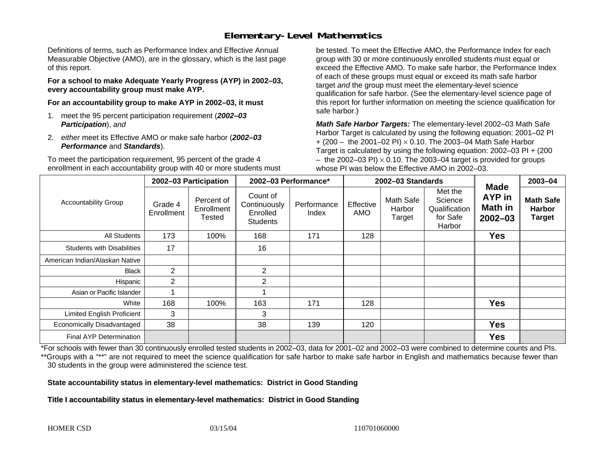## **Elementary-Level Mathematics**

Definitions of terms, such as Performance Index and Effective Annual Measurable Objective (AMO), are in the glossary, which is the last page of this report.

**For a school to make Adequate Yearly Progress (AYP) in 2002–03, every accountability group must make AYP.** 

**For an accountability group to make AYP in 2002–03, it must** 

- 1. meet the 95 percent participation requirement (*2002–03 Participation*), *and*
- 2. *either* meet its Effective AMO *or* make safe harbor (*2002–03 Performance* and *Standards*).

To meet the participation requirement, 95 percent of the grade 4 enrollment in each accountability group with 40 or more students must

be tested. To meet the Effective AMO, the Performance Index for each group with 30 or more continuously enrolled students must equal or exceed the Effective AMO. To make safe harbor, the Performance Index of each of these groups must equal or exceed its math safe harbor target *and* the group must meet the elementary-level science qualification for safe harbor. (See the elementary-level science page of this report for further information on meeting the science qualification for safe harbor.)

*Math Safe Harbor Targets:* The elementary-level 2002–03 Math Safe Harbor Target is calculated by using the following equation: 2001–02 PI + (200 – the 2001–02 PI) × 0.10. The 2003–04 Math Safe Harbor Target is calculated by using the following equation: 2002–03 PI + (200  $-$  the 2002–03 PI)  $\times$  0.10. The 2003–04 target is provided for groups whose PI was below the Effective AMO in 2002–03.

|                                   | 2002-03 Participation |                                    | 2002-03 Performance*                                    |                      |                         | 2002-03 Standards             |                                                           | 2003-04                                                       |                                                    |
|-----------------------------------|-----------------------|------------------------------------|---------------------------------------------------------|----------------------|-------------------------|-------------------------------|-----------------------------------------------------------|---------------------------------------------------------------|----------------------------------------------------|
| <b>Accountability Group</b>       | Grade 4<br>Enrollment | Percent of<br>Enrollment<br>Tested | Count of<br>Continuously<br>Enrolled<br><b>Students</b> | Performance<br>Index | Effective<br><b>AMO</b> | Math Safe<br>Harbor<br>Target | Met the<br>Science<br>Qualification<br>for Safe<br>Harbor | <b>Made</b><br><b>AYP</b> in<br><b>Math in</b><br>$2002 - 03$ | <b>Math Safe</b><br><b>Harbor</b><br><b>Target</b> |
| All Students                      | 173                   | 100%                               | 168                                                     | 171                  | 128                     |                               |                                                           | <b>Yes</b>                                                    |                                                    |
| <b>Students with Disabilities</b> | 17                    |                                    | 16                                                      |                      |                         |                               |                                                           |                                                               |                                                    |
| American Indian/Alaskan Native    |                       |                                    |                                                         |                      |                         |                               |                                                           |                                                               |                                                    |
| <b>Black</b>                      | 2                     |                                    | 2                                                       |                      |                         |                               |                                                           |                                                               |                                                    |
| Hispanic                          | $\overline{2}$        |                                    | 2                                                       |                      |                         |                               |                                                           |                                                               |                                                    |
| Asian or Pacific Islander         |                       |                                    |                                                         |                      |                         |                               |                                                           |                                                               |                                                    |
| White                             | 168                   | 100%                               | 163                                                     | 171                  | 128                     |                               |                                                           | <b>Yes</b>                                                    |                                                    |
| <b>Limited English Proficient</b> | 3                     |                                    | 3                                                       |                      |                         |                               |                                                           |                                                               |                                                    |
| Economically Disadvantaged        | 38                    |                                    | 38                                                      | 139                  | 120                     |                               |                                                           | <b>Yes</b>                                                    |                                                    |
| <b>Final AYP Determination</b>    |                       |                                    |                                                         |                      |                         |                               |                                                           | <b>Yes</b>                                                    |                                                    |

\*For schools with fewer than 30 continuously enrolled tested students in 2002–03, data for 2001–02 and 2002–03 were combined to determine counts and PIs. \*\*Groups with a "\*\*" are not required to meet the science qualification for safe harbor to make safe harbor in English and mathematics because fewer than 30 students in the group were administered the science test.

**State accountability status in elementary-level mathematics: District in Good Standing** 

Title I accountability status in elementary-level mathematics: District in Good Standing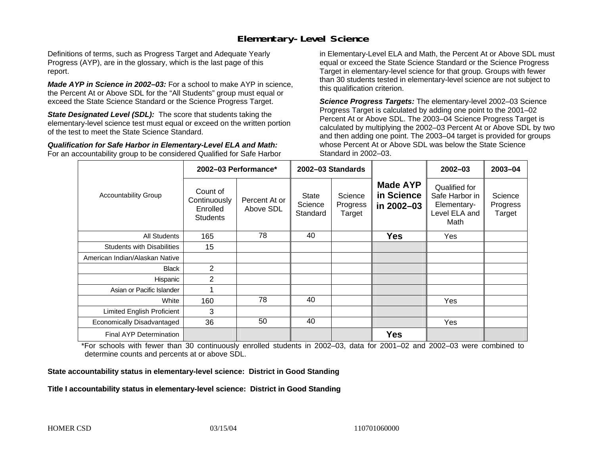### **Elementary-Level Science**

Definitions of terms, such as Progress Target and Adequate Yearly Progress (AYP), are in the glossary, which is the last page of this report.

*Made AYP in Science in 2002–03:* For a school to make AYP in science, the Percent At or Above SDL for the "All Students" group must equal or exceed the State Science Standard or the Science Progress Target.

**State Designated Level (SDL):** The score that students taking the elementary-level science test must equal or exceed on the written portion of the test to meet the State Science Standard.

*Qualification for Safe Harbor in Elementary-Level ELA and Math:* For an accountability group to be considered Qualified for Safe Harbor in Elementary-Level ELA and Math, the Percent At or Above SDL must equal or exceed the State Science Standard or the Science Progress Target in elementary-level science for that group. Groups with fewer than 30 students tested in elementary-level science are not subject to this qualification criterion.

*Science Progress Targets:* The elementary-level 2002–03 Science Progress Target is calculated by adding one point to the 2001–02 Percent At or Above SDL. The 2003–04 Science Progress Target is calculated by multiplying the 2002–03 Percent At or Above SDL by two and then adding one point. The 2003–04 target is provided for groups whose Percent At or Above SDL was below the State Science Standard in 2002–03.

|                                   |                                                         | 2002-03 Performance*       | 2002-03 Standards            |                               |                                             | $2002 - 03$                                                             | 2003-04                       |
|-----------------------------------|---------------------------------------------------------|----------------------------|------------------------------|-------------------------------|---------------------------------------------|-------------------------------------------------------------------------|-------------------------------|
| <b>Accountability Group</b>       | Count of<br>Continuously<br>Enrolled<br><b>Students</b> | Percent At or<br>Above SDL | State<br>Science<br>Standard | Science<br>Progress<br>Target | <b>Made AYP</b><br>in Science<br>in 2002-03 | Qualified for<br>Safe Harbor in<br>Elementary-<br>Level ELA and<br>Math | Science<br>Progress<br>Target |
| All Students                      | 165                                                     | 78                         | 40                           |                               | <b>Yes</b>                                  | Yes                                                                     |                               |
| <b>Students with Disabilities</b> | 15                                                      |                            |                              |                               |                                             |                                                                         |                               |
| American Indian/Alaskan Native    |                                                         |                            |                              |                               |                                             |                                                                         |                               |
| <b>Black</b>                      | 2                                                       |                            |                              |                               |                                             |                                                                         |                               |
| Hispanic                          | 2                                                       |                            |                              |                               |                                             |                                                                         |                               |
| Asian or Pacific Islander         |                                                         |                            |                              |                               |                                             |                                                                         |                               |
| White                             | 160                                                     | 78                         | 40                           |                               |                                             | <b>Yes</b>                                                              |                               |
| Limited English Proficient        | 3                                                       |                            |                              |                               |                                             |                                                                         |                               |
| Economically Disadvantaged        | 36                                                      | 50                         | 40                           |                               |                                             | Yes                                                                     |                               |
| <b>Final AYP Determination</b>    |                                                         |                            |                              |                               | <b>Yes</b>                                  |                                                                         |                               |

\*For schools with fewer than 30 continuously enrolled students in 2002–03, data for 2001–02 and 2002–03 were combined to determine counts and percents at or above SDL.

#### **State accountability status in elementary-level science: District in Good Standing**

#### Title I accountability status in elementary-level science: District in Good Standing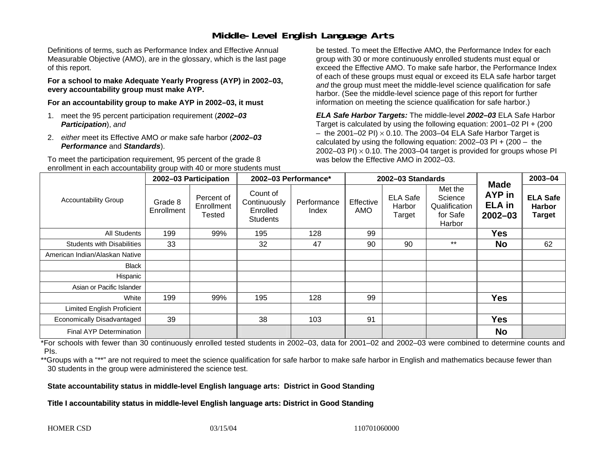### **Middle-Level English Language Arts**

Definitions of terms, such as Performance Index and Effective Annual Measurable Objective (AMO), are in the glossary, which is the last page of this report.

**For a school to make Adequate Yearly Progress (AYP) in 2002–03, every accountability group must make AYP.** 

**For an accountability group to make AYP in 2002–03, it must** 

- 1. meet the 95 percent participation requirement (*2002–03 Participation*), *and*
- 2. *either* meet its Effective AMO *or* make safe harbor (*2002–03 Performance* and *Standards*).

To meet the participation requirement, 95 percent of the grade 8 enrollment in each accountability group with 40 or more students must

be tested. To meet the Effective AMO, the Performance Index for each group with 30 or more continuously enrolled students must equal or exceed the Effective AMO. To make safe harbor, the Performance Index of each of these groups must equal or exceed its ELA safe harbor target *and* the group must meet the middle-level science qualification for safe harbor. (See the middle-level science page of this report for further information on meeting the science qualification for safe harbor.)

*ELA Safe Harbor Targets:* The middle-level *2002–03* ELA Safe Harbor Target is calculated by using the following equation: 2001–02 PI + (200  $-$  the 2001–02 PI)  $\times$  0.10. The 2003–04 ELA Safe Harbor Target is  $\,$ calculated by using the following equation:  $2002-03$  PI +  $(200 -$  the 2002–03 PI)  $\times$  0.10. The 2003–04 target is provided for groups whose PI was below the Effective AMO in 2002–03.

|                                   | 2002-03 Participation |                                    | 2002-03 Performance*                                    |                      |                  | 2002-03 Standards                   | <b>Made</b>                                               | $2003 - 04$                            |                                                   |
|-----------------------------------|-----------------------|------------------------------------|---------------------------------------------------------|----------------------|------------------|-------------------------------------|-----------------------------------------------------------|----------------------------------------|---------------------------------------------------|
| <b>Accountability Group</b>       | Grade 8<br>Enrollment | Percent of<br>Enrollment<br>Tested | Count of<br>Continuously<br>Enrolled<br><b>Students</b> | Performance<br>Index | Effective<br>AMO | <b>ELA Safe</b><br>Harbor<br>Target | Met the<br>Science<br>Qualification<br>for Safe<br>Harbor | AYP in<br><b>ELA</b> in<br>$2002 - 03$ | <b>ELA Safe</b><br><b>Harbor</b><br><b>Target</b> |
| All Students                      | 199                   | 99%                                | 195                                                     | 128                  | 99               |                                     |                                                           | <b>Yes</b>                             |                                                   |
| <b>Students with Disabilities</b> | 33                    |                                    | 32                                                      | 47                   | 90               | 90                                  | $***$                                                     | <b>No</b>                              | 62                                                |
| American Indian/Alaskan Native    |                       |                                    |                                                         |                      |                  |                                     |                                                           |                                        |                                                   |
| <b>Black</b>                      |                       |                                    |                                                         |                      |                  |                                     |                                                           |                                        |                                                   |
| Hispanic                          |                       |                                    |                                                         |                      |                  |                                     |                                                           |                                        |                                                   |
| Asian or Pacific Islander         |                       |                                    |                                                         |                      |                  |                                     |                                                           |                                        |                                                   |
| White                             | 199                   | 99%                                | 195                                                     | 128                  | 99               |                                     |                                                           | <b>Yes</b>                             |                                                   |
| Limited English Proficient        |                       |                                    |                                                         |                      |                  |                                     |                                                           |                                        |                                                   |
| Economically Disadvantaged        | 39                    |                                    | 38                                                      | 103                  | 91               |                                     |                                                           | <b>Yes</b>                             |                                                   |
| <b>Final AYP Determination</b>    |                       |                                    |                                                         |                      |                  |                                     |                                                           | <b>No</b>                              |                                                   |

\*For schools with fewer than 30 continuously enrolled tested students in 2002–03, data for 2001–02 and 2002–03 were combined to determine counts and PIs.

\*\*Groups with a "\*\*" are not required to meet the science qualification for safe harbor to make safe harbor in English and mathematics because fewer than 30 students in the group were administered the science test.

**State accountability status in middle-level English language arts: District in Good Standing** 

Title I accountability status in middle-level English language arts: District in Good Standing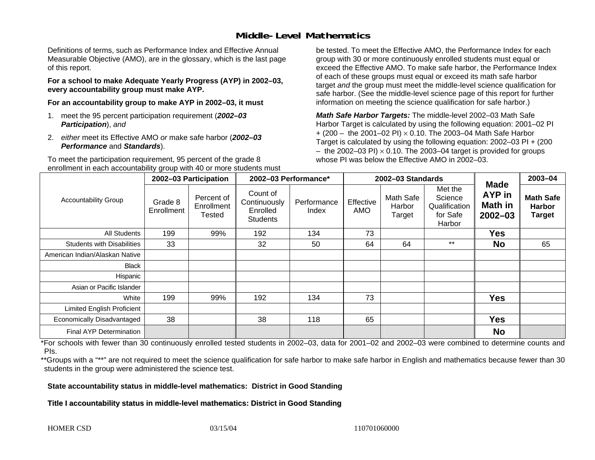### **Middle-Level Mathematics**

Definitions of terms, such as Performance Index and Effective Annual Measurable Objective (AMO), are in the glossary, which is the last page of this report.

**For a school to make Adequate Yearly Progress (AYP) in 2002–03, every accountability group must make AYP.** 

**For an accountability group to make AYP in 2002–03, it must** 

- 1. meet the 95 percent participation requirement (*2002–03 Participation*), *and*
- 2. *either* meet its Effective AMO *or* make safe harbor (*2002–03 Performance* and *Standards*).

To meet the participation requirement, 95 percent of the grade 8 enrollment in each accountability group with 40 or more students must

be tested. To meet the Effective AMO, the Performance Index for each group with 30 or more continuously enrolled students must equal or exceed the Effective AMO. To make safe harbor, the Performance Index of each of these groups must equal or exceed its math safe harbor target *and* the group must meet the middle-level science qualification for safe harbor. (See the middle-level science page of this report for further information on meeting the science qualification for safe harbor.)

*Math Safe Harbor Targets:* The middle-level 2002–03 Math Safe Harbor Target is calculated by using the following equation: 2001–02 PI + (200 – the 2001–02 PI) × 0.10. The 2003–04 Math Safe Harbor Target is calculated by using the following equation: 2002–03 PI + (200  $-$  the 2002–03 PI)  $\times$  0.10. The 2003–04 target is provided for groups whose PI was below the Effective AMO in 2002–03

|                                   | 2002-03 Participation |                                    | 2002-03 Performance*                                    |                      |                  | 2002-03 Standards                    |                                                           | 2003-04                                                       |                                                    |
|-----------------------------------|-----------------------|------------------------------------|---------------------------------------------------------|----------------------|------------------|--------------------------------------|-----------------------------------------------------------|---------------------------------------------------------------|----------------------------------------------------|
| <b>Accountability Group</b>       | Grade 8<br>Enrollment | Percent of<br>Enrollment<br>Tested | Count of<br>Continuously<br>Enrolled<br><b>Students</b> | Performance<br>Index | Effective<br>AMO | <b>Math Safe</b><br>Harbor<br>Target | Met the<br>Science<br>Qualification<br>for Safe<br>Harbor | <b>Made</b><br><b>AYP</b> in<br><b>Math in</b><br>$2002 - 03$ | <b>Math Safe</b><br><b>Harbor</b><br><b>Target</b> |
| <b>All Students</b>               | 199                   | 99%                                | 192                                                     | 134                  | 73               |                                      |                                                           | <b>Yes</b>                                                    |                                                    |
| <b>Students with Disabilities</b> | 33                    |                                    | 32                                                      | 50                   | 64               | 64                                   | $***$                                                     | <b>No</b>                                                     | 65                                                 |
| American Indian/Alaskan Native    |                       |                                    |                                                         |                      |                  |                                      |                                                           |                                                               |                                                    |
| <b>Black</b>                      |                       |                                    |                                                         |                      |                  |                                      |                                                           |                                                               |                                                    |
| Hispanic                          |                       |                                    |                                                         |                      |                  |                                      |                                                           |                                                               |                                                    |
| Asian or Pacific Islander         |                       |                                    |                                                         |                      |                  |                                      |                                                           |                                                               |                                                    |
| White                             | 199                   | 99%                                | 192                                                     | 134                  | 73               |                                      |                                                           | <b>Yes</b>                                                    |                                                    |
| <b>Limited English Proficient</b> |                       |                                    |                                                         |                      |                  |                                      |                                                           |                                                               |                                                    |
| Economically Disadvantaged        | 38                    |                                    | 38                                                      | 118                  | 65               |                                      |                                                           | <b>Yes</b>                                                    |                                                    |
| <b>Final AYP Determination</b>    |                       |                                    |                                                         |                      |                  |                                      |                                                           | <b>No</b>                                                     |                                                    |

\*For schools with fewer than 30 continuously enrolled tested students in 2002–03, data for 2001–02 and 2002–03 were combined to determine counts and PIs.

\*\*Groups with a "\*\*" are not required to meet the science qualification for safe harbor to make safe harbor in English and mathematics because fewer than 30 students in the group were administered the science test.

**State accountability status in middle-level mathematics: District in Good Standing** 

Title I accountability status in middle-level mathematics: District in Good Standing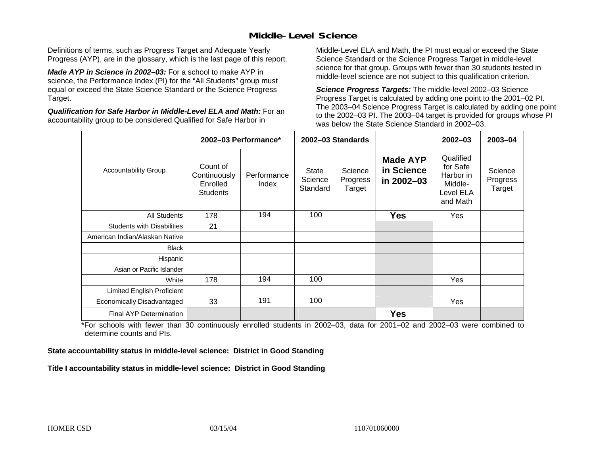### **Middle-Level Science**

Definitions of terms, such as Progress Target and Adequate Yearly Progress (AYP), are in the glossary, which is the last page of this report.

*Made AYP in Science in 2002–03:* For a school to make AYP in science, the Performance Index (PI) for the "All Students" group must equal or exceed the State Science Standard or the Science Progress Target.

*Qualification for Safe Harbor in Middle-Level ELA and Math:* For an accountability group to be considered Qualified for Safe Harbor in

Middle-Level ELA and Math, the PI must equal or exceed the State Science Standard or the Science Progress Target in middle-level science for that group. Groups with fewer than 30 students tested in middle-level science are not subject to this qualification criterion.

*Science Progress Targets:* The middle-level 2002–03 Science Progress Target is calculated by adding one point to the 2001–02 PI. The 2003–04 Science Progress Target is calculated by adding one point to the 2002–03 PI. The 2003–04 target is provided for groups whose PI was below the State Science Standard in 2002–03.

|                                   | 2002-03 Performance*                                    |                      |                              | 2002-03 Standards             |                                             | $2002 - 03$                                                            | 2003-04                       |
|-----------------------------------|---------------------------------------------------------|----------------------|------------------------------|-------------------------------|---------------------------------------------|------------------------------------------------------------------------|-------------------------------|
| <b>Accountability Group</b>       | Count of<br>Continuously<br>Enrolled<br><b>Students</b> | Performance<br>Index | State<br>Science<br>Standard | Science<br>Progress<br>Target | <b>Made AYP</b><br>in Science<br>in 2002-03 | Qualified<br>for Safe<br>Harbor in<br>Middle-<br>Level ELA<br>and Math | Science<br>Progress<br>Target |
| <b>All Students</b>               | 178                                                     | 194                  | 100                          |                               | <b>Yes</b>                                  | Yes                                                                    |                               |
| <b>Students with Disabilities</b> | 21                                                      |                      |                              |                               |                                             |                                                                        |                               |
| American Indian/Alaskan Native    |                                                         |                      |                              |                               |                                             |                                                                        |                               |
| Black                             |                                                         |                      |                              |                               |                                             |                                                                        |                               |
| Hispanic                          |                                                         |                      |                              |                               |                                             |                                                                        |                               |
| Asian or Pacific Islander         |                                                         |                      |                              |                               |                                             |                                                                        |                               |
| White                             | 178                                                     | 194                  | 100                          |                               |                                             | Yes                                                                    |                               |
| <b>Limited English Proficient</b> |                                                         |                      |                              |                               |                                             |                                                                        |                               |
| Economically Disadvantaged        | 33                                                      | 191                  | 100                          |                               |                                             | Yes                                                                    |                               |
| <b>Final AYP Determination</b>    |                                                         |                      |                              |                               | <b>Yes</b>                                  |                                                                        |                               |

\*For schools with fewer than 30 continuously enrolled students in 2002–03, data for 2001–02 and 2002–03 were combined to determine counts and PIs.

**State accountability status in middle-level science: District in Good Standing** 

Title I accountability status in middle-level science: District in Good Standing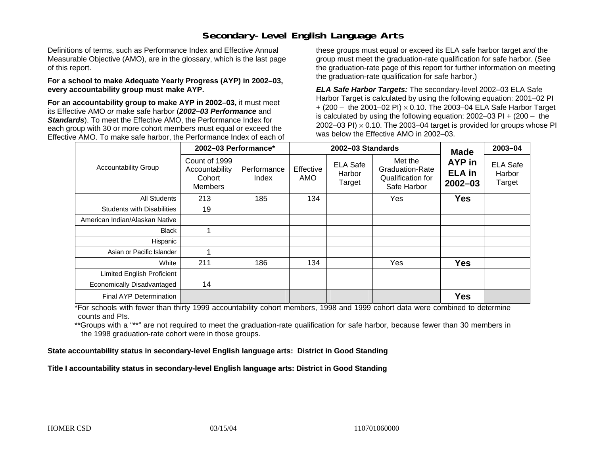### **Secondary-Level English Language Arts**

Definitions of terms, such as Performance Index and Effective Annual Measurable Objective (AMO), are in the glossary, which is the last page of this report.

#### **For a school to make Adequate Yearly Progress (AYP) in 2002–03, every accountability group must make AYP.**

**For an accountability group to make AYP in 2002–03,** it must meet its Effective AMO *or* make safe harbor (*2002–03 Performance* and *Standards*). To meet the Effective AMO, the Performance Index for each group with 30 or more cohort members must equal or exceed the Effective AMO. To make safe harbor, the Performance Index of each of these groups must equal or exceed its ELA safe harbor target *and* the group must meet the graduation-rate qualification for safe harbor. (See the graduation-rate page of this report for further information on meeting the graduation-rate qualification for safe harbor.)

*ELA Safe Harbor Targets:* The secondary-level 2002–03 ELA Safe Harbor Target is calculated by using the following equation: 2001–02 PI + (200 – the 2001–02 PI) <sup>×</sup> 0.10. The 2003–04 ELA Safe Harbor Target is calculated by using the following equation: 2002–03 PI + (200 – the 2002–03 PI)  $\times$  0.10. The 2003–04 target is provided for groups whose PI was below the Effective AMO in 2002–03.

|                                   | 2002-03 Performance*                                        |                      |                  | 2002-03 Standards                   | <b>Made</b>                                                           | 2003-04                                |                                     |
|-----------------------------------|-------------------------------------------------------------|----------------------|------------------|-------------------------------------|-----------------------------------------------------------------------|----------------------------------------|-------------------------------------|
| <b>Accountability Group</b>       | Count of 1999<br>Accountability<br>Cohort<br><b>Members</b> | Performance<br>Index | Effective<br>AMO | <b>ELA Safe</b><br>Harbor<br>Target | Met the<br><b>Graduation-Rate</b><br>Qualification for<br>Safe Harbor | AYP in<br><b>ELA</b> in<br>$2002 - 03$ | <b>ELA Safe</b><br>Harbor<br>Target |
| All Students                      | 213                                                         | 185                  | 134              |                                     | Yes                                                                   | <b>Yes</b>                             |                                     |
| <b>Students with Disabilities</b> | 19                                                          |                      |                  |                                     |                                                                       |                                        |                                     |
| American Indian/Alaskan Native    |                                                             |                      |                  |                                     |                                                                       |                                        |                                     |
| <b>Black</b>                      |                                                             |                      |                  |                                     |                                                                       |                                        |                                     |
| Hispanic                          |                                                             |                      |                  |                                     |                                                                       |                                        |                                     |
| Asian or Pacific Islander         |                                                             |                      |                  |                                     |                                                                       |                                        |                                     |
| White                             | 211                                                         | 186                  | 134              |                                     | Yes                                                                   | <b>Yes</b>                             |                                     |
| Limited English Proficient        |                                                             |                      |                  |                                     |                                                                       |                                        |                                     |
| Economically Disadvantaged        | 14                                                          |                      |                  |                                     |                                                                       |                                        |                                     |
| <b>Final AYP Determination</b>    |                                                             |                      |                  |                                     |                                                                       | <b>Yes</b>                             |                                     |

\*For schools with fewer than thirty 1999 accountability cohort members, 1998 and 1999 cohort data were combined to determine counts and PIs.

\*\*Groups with a "\*\*" are not required to meet the graduation-rate qualification for safe harbor, because fewer than 30 members in the 1998 graduation-rate cohort were in those groups.

**State accountability status in secondary-level English language arts: District in Good Standing** 

Title I accountability status in secondary-level English language arts: District in Good Standing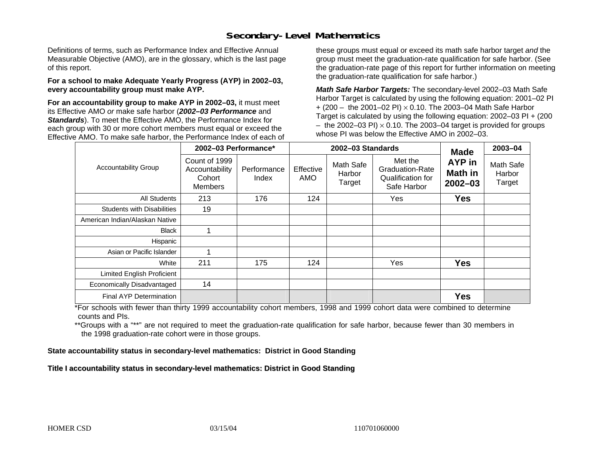### **Secondary-Level Mathematics**

Definitions of terms, such as Performance Index and Effective Annual Measurable Objective (AMO), are in the glossary, which is the last page of this report.

#### **For a school to make Adequate Yearly Progress (AYP) in 2002–03, every accountability group must make AYP.**

**For an accountability group to make AYP in 2002–03,** it must meet its Effective AMO *or* make safe harbor (*2002–03 Performance* and *Standards*). To meet the Effective AMO, the Performance Index for each group with 30 or more cohort members must equal or exceed the Effective AMO. To make safe harbor, the Performance Index of each of these groups must equal or exceed its math safe harbor target *and* the group must meet the graduation-rate qualification for safe harbor. (See the graduation-rate page of this report for further information on meeting the graduation-rate qualification for safe harbor.)

*Math Safe Harbor Targets:* The secondary-level 2002–03 Math Safe Harbor Target is calculated by using the following equation: 2001–02 PI + (200 – the 2001–02 PI) × 0.10. The 2003–04 Math Safe Harbor Target is calculated by using the following equation: 2002–03 PI + (200  $-$  the 2002–03 PI)  $\times$  0.10. The 2003–04 target is provided for groups whose PI was below the Effective AMO in 2002–03.

|                                   | 2002-03 Performance*                                        |                      |                  | 2002-03 Standards             | <b>Made</b>                                                    | 2003-04                          |                               |
|-----------------------------------|-------------------------------------------------------------|----------------------|------------------|-------------------------------|----------------------------------------------------------------|----------------------------------|-------------------------------|
| <b>Accountability Group</b>       | Count of 1999<br>Accountability<br>Cohort<br><b>Members</b> | Performance<br>Index | Effective<br>AMO | Math Safe<br>Harbor<br>Target | Met the<br>Graduation-Rate<br>Qualification for<br>Safe Harbor | AYP in<br>Math in<br>$2002 - 03$ | Math Safe<br>Harbor<br>Target |
| <b>All Students</b>               | 213                                                         | 176                  | 124              |                               | Yes                                                            | Yes                              |                               |
| <b>Students with Disabilities</b> | 19                                                          |                      |                  |                               |                                                                |                                  |                               |
| American Indian/Alaskan Native    |                                                             |                      |                  |                               |                                                                |                                  |                               |
| <b>Black</b>                      |                                                             |                      |                  |                               |                                                                |                                  |                               |
| Hispanic                          |                                                             |                      |                  |                               |                                                                |                                  |                               |
| Asian or Pacific Islander         |                                                             |                      |                  |                               |                                                                |                                  |                               |
| White                             | 211                                                         | 175                  | 124              |                               | Yes                                                            | <b>Yes</b>                       |                               |
| Limited English Proficient        |                                                             |                      |                  |                               |                                                                |                                  |                               |
| Economically Disadvantaged        | 14                                                          |                      |                  |                               |                                                                |                                  |                               |
| Final AYP Determination           |                                                             |                      |                  |                               |                                                                | <b>Yes</b>                       |                               |

\*For schools with fewer than thirty 1999 accountability cohort members, 1998 and 1999 cohort data were combined to determine counts and PIs.

\*\*Groups with a "\*\*" are not required to meet the graduation-rate qualification for safe harbor, because fewer than 30 members in the 1998 graduation-rate cohort were in those groups.

**State accountability status in secondary-level mathematics: District in Good Standing** 

Title I accountability status in secondary-level mathematics: District in Good Standing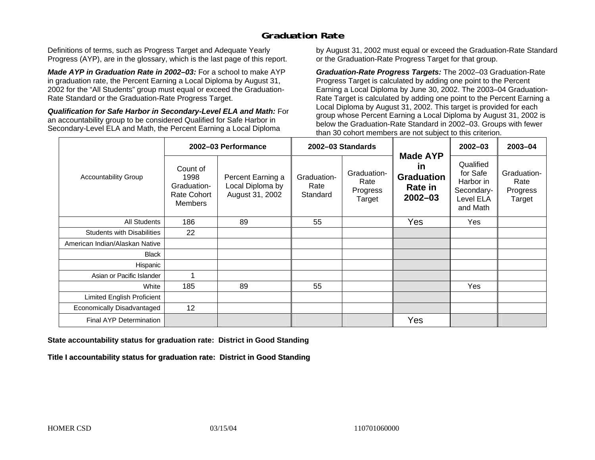### **Graduation Rate**

Definitions of terms, such as Progress Target and Adequate Yearly Progress (AYP), are in the glossary, which is the last page of this report.

*Made AYP in Graduation Rate in 2002–03:* For a school to make AYP in graduation rate, the Percent Earning a Local Diploma by August 31, 2002 for the "All Students" group must equal or exceed the Graduation-Rate Standard or the Graduation-Rate Progress Target.

*Qualification for Safe Harbor in Secondary-Level ELA and Math:* For an accountability group to be considered Qualified for Safe Harbor in Secondary-Level ELA and Math, the Percent Earning a Local Diploma

by August 31, 2002 must equal or exceed the Graduation-Rate Standard or the Graduation-Rate Progress Target for that group.

*Graduation-Rate Progress Targets:* The 2002–03 Graduation-Rate Progress Target is calculated by adding one point to the Percent Earning a Local Diploma by June 30, 2002. The 2003–04 Graduation-Rate Target is calculated by adding one point to the Percent Earning a Local Diploma by August 31, 2002. This target is provided for each group whose Percent Earning a Local Diploma by August 31, 2002 is below the Graduation-Rate Standard in 2002–03. Groups with fewer than 30 cohort members are not subject to this criterion.

|                                   |                                                                         | 2002-03 Performance                                      |                                 | 2002-03 Standards                         |                                                                             | $2002 - 03$                                                               | 2003-04                                   |
|-----------------------------------|-------------------------------------------------------------------------|----------------------------------------------------------|---------------------------------|-------------------------------------------|-----------------------------------------------------------------------------|---------------------------------------------------------------------------|-------------------------------------------|
| <b>Accountability Group</b>       | Count of<br>1998<br>Graduation-<br><b>Rate Cohort</b><br><b>Members</b> | Percent Earning a<br>Local Diploma by<br>August 31, 2002 | Graduation-<br>Rate<br>Standard | Graduation-<br>Rate<br>Progress<br>Target | <b>Made AYP</b><br>in<br><b>Graduation</b><br><b>Rate in</b><br>$2002 - 03$ | Qualified<br>for Safe<br>Harbor in<br>Secondary-<br>Level ELA<br>and Math | Graduation-<br>Rate<br>Progress<br>Target |
| All Students                      | 186                                                                     | 89                                                       | 55                              |                                           | Yes                                                                         | Yes                                                                       |                                           |
| <b>Students with Disabilities</b> | 22                                                                      |                                                          |                                 |                                           |                                                                             |                                                                           |                                           |
| American Indian/Alaskan Native    |                                                                         |                                                          |                                 |                                           |                                                                             |                                                                           |                                           |
| <b>Black</b>                      |                                                                         |                                                          |                                 |                                           |                                                                             |                                                                           |                                           |
| Hispanic                          |                                                                         |                                                          |                                 |                                           |                                                                             |                                                                           |                                           |
| Asian or Pacific Islander         |                                                                         |                                                          |                                 |                                           |                                                                             |                                                                           |                                           |
| White                             | 185                                                                     | 89                                                       | 55                              |                                           |                                                                             | Yes                                                                       |                                           |
| Limited English Proficient        |                                                                         |                                                          |                                 |                                           |                                                                             |                                                                           |                                           |
| Economically Disadvantaged        | 12                                                                      |                                                          |                                 |                                           |                                                                             |                                                                           |                                           |
| <b>Final AYP Determination</b>    |                                                                         |                                                          |                                 |                                           | Yes                                                                         |                                                                           |                                           |

#### **State accountability status for graduation rate: District in Good Standing**

Title I accountability status for graduation rate: District in Good Standing